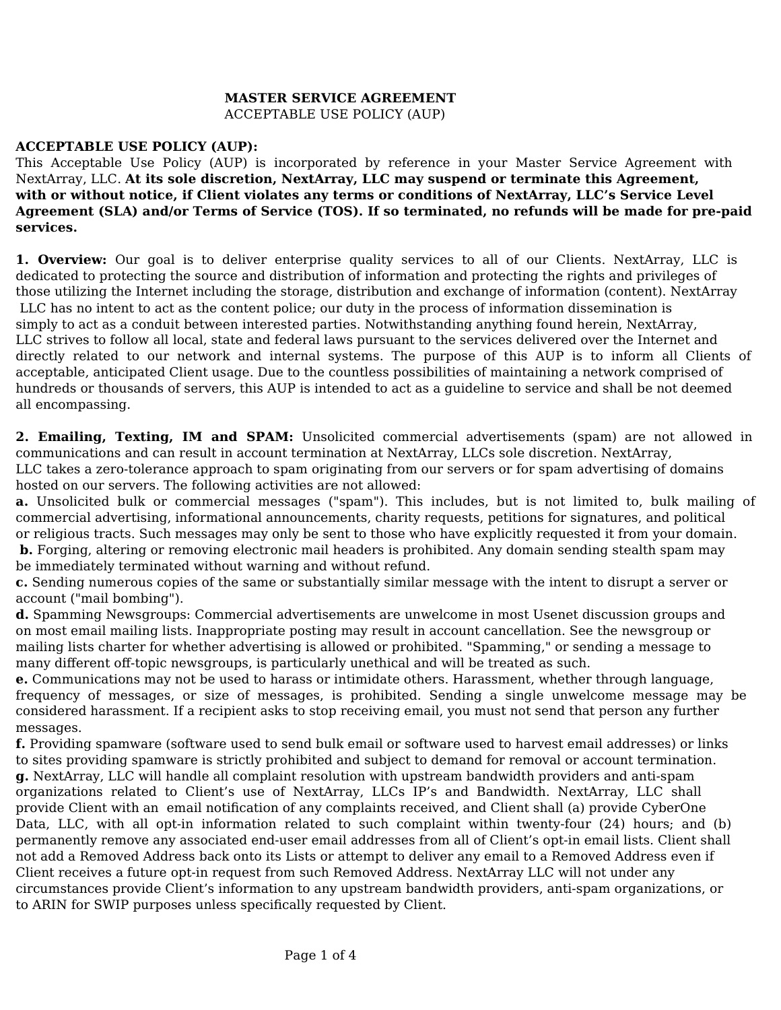## **MASTER SERVICE AGREEMENT**  ACCEPTABLE USE POLICY (AUP)

## **ACCEPTABLE USE POLICY (AUP):**

This Acceptable Use Policy (AUP) is incorporated by reference in your Master Service Agreement with NextArray, LLC. **At its sole discretion, NextArray, LLC may suspend or terminate this Agreement, with or without notice, if Client violates any terms or conditions of NextArray, LLC's Service Level Agreement (SLA) and/or Terms of Service (TOS). If so terminated, no refunds will be made for pre-paid services.**

**1. Overview:** Our goal is to deliver enterprise quality services to all of our Clients. NextArray, LLC is dedicated to protecting the source and distribution of information and protecting the rights and privileges of those utilizing the Internet including the storage, distribution and exchange of information (content). NextArray LLC has no intent to act as the content police; our duty in the process of information dissemination is simply to act as a conduit between interested parties. Notwithstanding anything found herein, NextArray, LLC strives to follow all local, state and federal laws pursuant to the services delivered over the Internet and directly related to our network and internal systems. The purpose of this AUP is to inform all Clients of acceptable, anticipated Client usage. Due to the countless possibilities of maintaining a network comprised of hundreds or thousands of servers, this AUP is intended to act as a guideline to service and shall be not deemed all encompassing.

**2. Emailing, Texting, IM and SPAM:** Unsolicited commercial advertisements (spam) are not allowed in communications and can result in account termination at NextArray, LLCs sole discretion. NextArray, LLC takes a zero-tolerance approach to spam originating from our servers or for spam advertising of domains hosted on our servers. The following activities are not allowed:

**a.** Unsolicited bulk or commercial messages ("spam"). This includes, but is not limited to, bulk mailing of commercial advertising, informational announcements, charity requests, petitions for signatures, and political or religious tracts. Such messages may only be sent to those who have explicitly requested it from your domain. **b.** Forging, altering or removing electronic mail headers is prohibited. Any domain sending stealth spam may be immediately terminated without warning and without refund.

**c.** Sending numerous copies of the same or substantially similar message with the intent to disrupt a server or account ("mail bombing").

**d.** Spamming Newsgroups: Commercial advertisements are unwelcome in most Usenet discussion groups and on most email mailing lists. Inappropriate posting may result in account cancellation. See the newsgroup or mailing lists charter for whether advertising is allowed or prohibited. "Spamming," or sending a message to many different off-topic newsgroups, is particularly unethical and will be treated as such.

**e.** Communications may not be used to harass or intimidate others. Harassment, whether through language, frequency of messages, or size of messages, is prohibited. Sending a single unwelcome message may be considered harassment. If a recipient asks to stop receiving email, you must not send that person any further messages.

**f.** Providing spamware (software used to send bulk email or software used to harvest email addresses) or links to sites providing spamware is strictly prohibited and subject to demand for removal or account termination. **g.** NextArray, LLC will handle all complaint resolution with upstream bandwidth providers and anti-spam organizations related to Client's use of NextArray, LLCs IP's and Bandwidth. NextArray, LLC shall provide Client with an email notification of any complaints received, and Client shall (a) provide CyberOne Data, LLC, with all opt-in information related to such complaint within twenty-four (24) hours; and (b) permanently remove any associated end-user email addresses from all of Client's opt-in email lists. Client shall not add a Removed Address back onto its Lists or attempt to deliver any email to a Removed Address even if Client receives a future opt-in request from such Removed Address. NextArray LLC will not under any circumstances provide Client's information to any upstream bandwidth providers, anti-spam organizations, or to ARIN for SWIP purposes unless specifically requested by Client.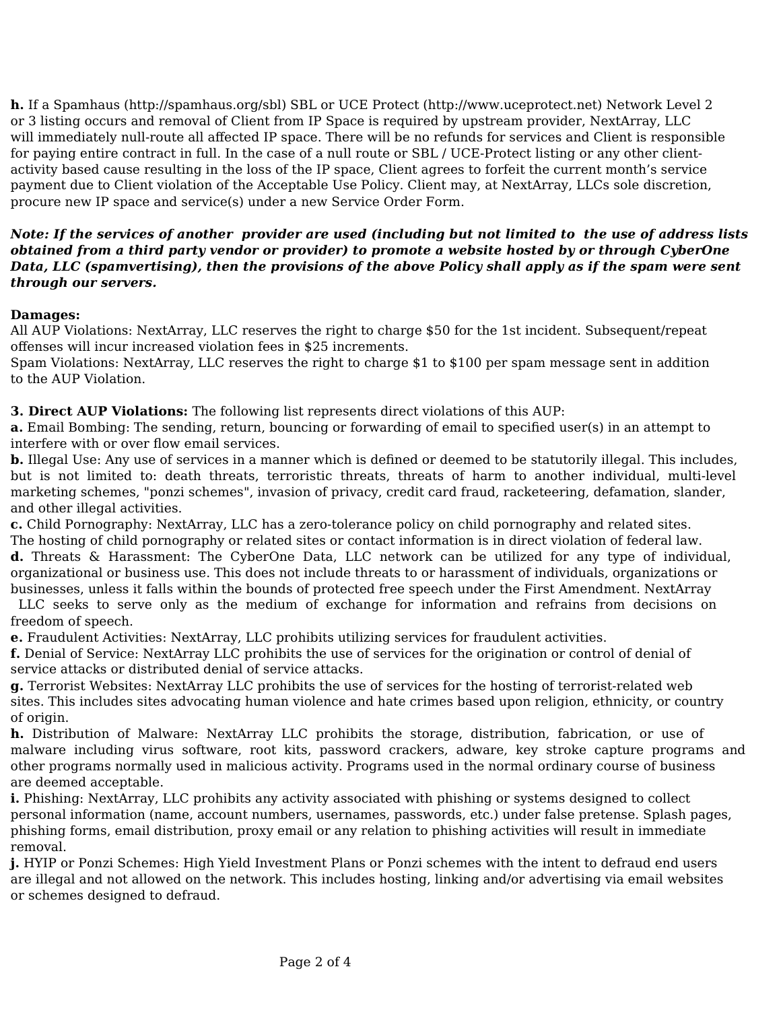**h.** If a Spamhaus (http://spamhaus.org/sbl) SBL or UCE Protect (http://www.uceprotect.net) Network Level 2 or 3 listing occurs and removal of Client from IP Space is required by upstream provider, NextArray, LLC will immediately null-route all affected IP space. There will be no refunds for services and Client is responsible for paying entire contract in full. In the case of a null route or SBL / UCE-Protect listing or any other clientactivity based cause resulting in the loss of the IP space, Client agrees to forfeit the current month's service payment due to Client violation of the Acceptable Use Policy. Client may, at NextArray, LLCs sole discretion, procure new IP space and service(s) under a new Service Order Form.

## *Note: If the services of another provider are used (including but not limited to the use of address lists obtained from a third party vendor or provider) to promote a website hosted by or through CyberOne Data, LLC (spamvertising), then the provisions of the above Policy shall apply as if the spam were sent through our servers.*

## **Damages:**

All AUP Violations: NextArray, LLC reserves the right to charge \$50 for the 1st incident. Subsequent/repeat offenses will incur increased violation fees in \$25 increments.

Spam Violations: NextArray, LLC reserves the right to charge \$1 to \$100 per spam message sent in addition to the AUP Violation.

**3. Direct AUP Violations:** The following list represents direct violations of this AUP:

**a.** Email Bombing: The sending, return, bouncing or forwarding of email to specified user(s) in an attempt to interfere with or over flow email services.

**b.** Illegal Use: Any use of services in a manner which is defined or deemed to be statutorily illegal. This includes, but is not limited to: death threats, terroristic threats, threats of harm to another individual, multi-level marketing schemes, "ponzi schemes", invasion of privacy, credit card fraud, racketeering, defamation, slander, and other illegal activities.

**c.** Child Pornography: NextArray, LLC has a zero-tolerance policy on child pornography and related sites. The hosting of child pornography or related sites or contact information is in direct violation of federal law.

**d.** Threats & Harassment: The CyberOne Data, LLC network can be utilized for any type of individual, organizational or business use. This does not include threats to or harassment of individuals, organizations or businesses, unless it falls within the bounds of protected free speech under the First Amendment. NextArray

 LLC seeks to serve only as the medium of exchange for information and refrains from decisions on freedom of speech.

**e.** Fraudulent Activities: NextArray, LLC prohibits utilizing services for fraudulent activities.

**f.** Denial of Service: NextArray LLC prohibits the use of services for the origination or control of denial of service attacks or distributed denial of service attacks.

**g.** Terrorist Websites: NextArray LLC prohibits the use of services for the hosting of terrorist-related web sites. This includes sites advocating human violence and hate crimes based upon religion, ethnicity, or country of origin.

**h.** Distribution of Malware: NextArray LLC prohibits the storage, distribution, fabrication, or use of malware including virus software, root kits, password crackers, adware, key stroke capture programs and other programs normally used in malicious activity. Programs used in the normal ordinary course of business are deemed acceptable.

**i.** Phishing: NextArray, LLC prohibits any activity associated with phishing or systems designed to collect personal information (name, account numbers, usernames, passwords, etc.) under false pretense. Splash pages, phishing forms, email distribution, proxy email or any relation to phishing activities will result in immediate removal.

**j.** HYIP or Ponzi Schemes: High Yield Investment Plans or Ponzi schemes with the intent to defraud end users are illegal and not allowed on the network. This includes hosting, linking and/or advertising via email websites or schemes designed to defraud.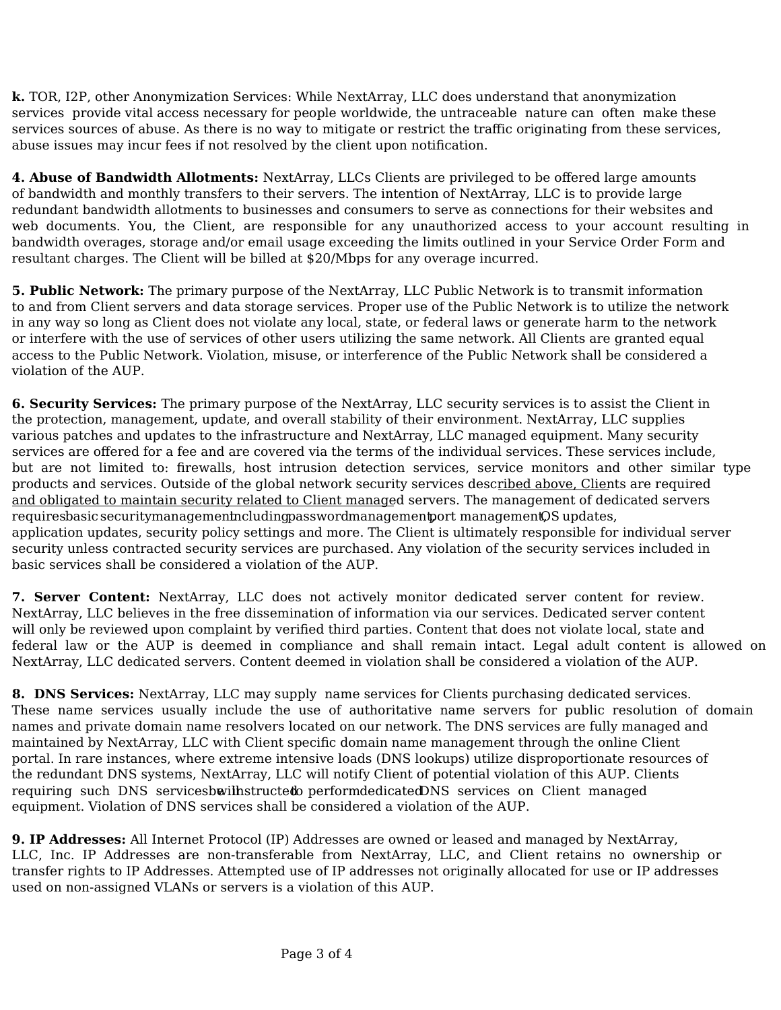**k.** TOR, I2P, other Anonymization Services: While NextArray, LLC does understand that anonymization services provide vital access necessary for people worldwide, the untraceable nature can often make these services sources of abuse. As there is no way to mitigate or restrict the traffic originating from these services, abuse issues may incur fees if not resolved by the client upon notification.

**4. Abuse of Bandwidth Allotments:** NextArray, LLCs Clients are privileged to be offered large amounts of bandwidth and monthly transfers to their servers. The intention of NextArray, LLC is to provide large redundant bandwidth allotments to businesses and consumers to serve as connections for their websites and web documents. You, the Client, are responsible for any unauthorized access to your account resulting in bandwidth overages, storage and/or email usage exceeding the limits outlined in your Service Order Form and resultant charges. The Client will be billed at \$20/Mbps for any overage incurred.

**5. Public Network:** The primary purpose of the NextArray, LLC Public Network is to transmit information to and from Client servers and data storage services. Proper use of the Public Network is to utilize the network in any way so long as Client does not violate any local, state, or federal laws or generate harm to the network or interfere with the use of services of other users utilizing the same network. All Clients are granted equal access to the Public Network. Violation, misuse, or interference of the Public Network shall be considered a violation of the AUP.

**6. Security Services:** The primary purpose of the NextArray, LLC security services is to assist the Client in the protection, management, update, and overall stability of their environment. NextArray, LLC supplies various patches and updates to the infrastructure and NextArray, LLC managed equipment. Many security services are offered for a fee and are covered via the terms of the individual services. These services include, but are not limited to: firewalls, host intrusion detection services, service monitors and other similar type products and services. Outside of the global network security services described above, Clients are required and obligated to maintain security related to Client managed servers. The management of dedicated servers requires basic security management including password management port management, OS updates, application updates, security policy settings and more. The Client is ultimately responsible for individual server security unless contracted security services are purchased. Any violation of the security services included in basic services shall be considered a violation of the AUP.

**7. Server Content:** NextArray, LLC does not actively monitor dedicated server content for review. NextArray, LLC believes in the free dissemination of information via our services. Dedicated server content will only be reviewed upon complaint by verified third parties. Content that does not violate local, state and federal law or the AUP is deemed in compliance and shall remain intact. Legal adult content is allowed on NextArray, LLC dedicated servers. Content deemed in violation shall be considered a violation of the AUP.

**8. DNS Services:** NextArray, LLC may supply name services for Clients purchasing dedicated services. These name services usually include the use of authoritative name servers for public resolution of domain names and private domain name resolvers located on our network. The DNS services are fully managed and maintained by NextArray, LLC with Client specific domain name management through the online Client portal. In rare instances, where extreme intensive loads (DNS lookups) utilize disproportionate resources of the redundant DNS systems, NextArray, LLC will notify Client of potential violation of this AUP. Clients requiring such DNS services be will astroicted to perform dedicated DNS services on Client managed equipment. Violation of DNS services shall be considered a violation of the AUP.

**9. IP Addresses:** All Internet Protocol (IP) Addresses are owned or leased and managed by NextArray, LLC, Inc. IP Addresses are non-transferable from NextArray, LLC, and Client retains no ownership or transfer rights to IP Addresses. Attempted use of IP addresses not originally allocated for use or IP addresses used on non-assigned VLANs or servers is a violation of this AUP.